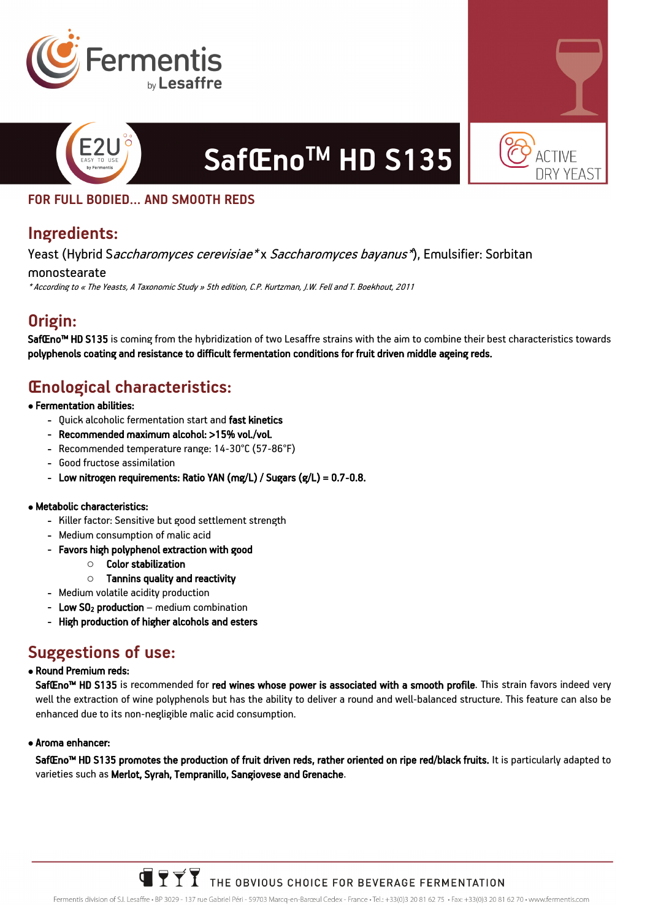



### **FOR FULL BODIED… AND SMOOTH REDS**

### **Ingredients:**

Yeast (Hybrid Saccharomyces cerevisiae\* x Saccharomyces bayanus\*), Emulsifier: Sorbitan

monostearate

\* According to « The Yeasts, A Taxonomic Study » 5th edition, C.P. Kurtzman, J.W. Fell and T. Boekhout, 2011

# **Origin:**

SafŒno<sup>m</sup> HD S135 is coming from the hybridization of two Lesaffre strains with the aim to combine their best characteristics towards polyphenols coating and resistance to difficult fermentation conditions for fruit driven middle ageing reds.

**SafŒnoTM HD S135**

# **Œnological characteristics:**

- Fermentation abilities:
	- Quick alcoholic fermentation start and fast kinetics
	- Recommended maximum alcohol: >15% vol./vol.
	- Recommended temperature range: 14-30°C (57-86°F)
	- Good fructose assimilation
	- Low nitrogen requirements: Ratio YAN (mg/L) / Sugars  $(g/L) = 0.7 0.8$ .

#### • Metabolic characteristics:

- Killer factor: Sensitive but good settlement strength
- Medium consumption of malic acid
- Favors high polyphenol extraction with good
	- o Color stabilization
	- $\circ$  Tannins quality and reactivity
- Medium volatile acidity production
- Low  $SO<sub>2</sub>$  production medium combination
- High production of higher alcohols and esters

## **Suggestions of use:**

#### • Round Premium reds:

SafŒno™ HD S135 is recommended for red wines whose power is associated with a smooth profile. This strain favors indeed very well the extraction of wine polyphenols but has the ability to deliver a round and well-balanced structure. This feature can also be enhanced due to its non-negligible malic acid consumption.

#### • Aroma enhancer:

SafŒno<sup>m</sup> HD S135 promotes the production of fruit driven reds, rather oriented on ripe red/black fruits. It is particularly adapted to varieties such as Merlot, Syrah, Tempranillo, Sangiovese and Grenache.

> **TYTT** THE OBVIOUS CHOICE FOR BEVERAGE FERMENTATION